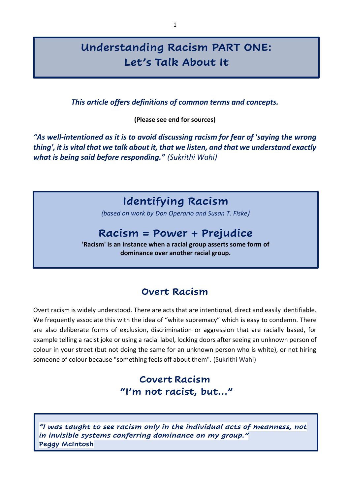# **Understanding Racism PART ONE: Let's Talk About It**

*This article offers definitions of common terms and concepts.*

**(Please see end for sources)**

*"As well-intentioned as it is to avoid discussing racism for fear of 'saying the wrong thing', it is vital that we talk about it, that we listen, and that we understand exactly what is being said before responding." (Sukrithi Wahi)*

# **Identifying Racism**

*(based on work by Don Operario and Susan T. Fiske)*

# **Racism = Power + Prejudice**

**'Racism' is an instance when a racial group asserts some form of dominance over another racial group.**

### **Overt Racism**

Overt racism is widely understood. There are acts that are intentional, direct and easily identifiable. We frequently associate this with the idea of "white supremacy" which is easy to condemn. There are also deliberate forms of exclusion, discrimination or aggression that are racially based, for example telling a racist joke or using a racial label, locking doors after seeing an unknown person of colour in your street (but not doing the same for an unknown person who is white), or not hiring someone of colour because "something feels off about them". (Sukrithi Wahi)

### **Covert Racism "I'm not racist, but…"**

*"I was taught to see racism only in the individual acts of meanness, not in invisible systems conferring dominance on my group."* **Peggy McIntosh**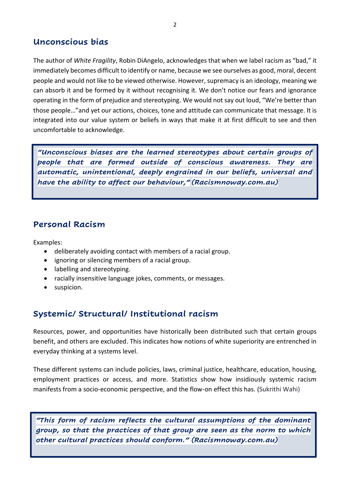### **Unconscious bias**

The author of *White Fragility*, Robin DiAngelo, acknowledges that when we label racism as "bad," it immediately becomes difficult to identify or name, because we see ourselves as good, moral, decent people and would not like to be viewed otherwise. However, supremacy is an ideology, meaning we can absorb it and be formed by it without recognising it. We don't notice our fears and ignorance operating in the form of prejudice and stereotyping. We would not say out loud, "We're better than those people…"and yet our actions, choices, tone and attitude can communicate that message. It is integrated into our value system or beliefs in ways that make it at first difficult to see and then uncomfortable to acknowledge.

*"Unconscious biases are the learned stereotypes about certain groups of people that are formed outside of conscious awareness. They are automatic, unintentional, deeply engrained in our beliefs, universal and have the ability to affect our behaviour," (Racismnoway.com.au)*

#### **Personal Racism**

Examples:

- deliberately avoiding contact with members of a racial group.
- ignoring or silencing members of a racial group.
- labelling and stereotyping.
- racially insensitive language jokes, comments, or messages.
- suspicion.

### **Systemic/ Structural/ Institutional racism**

Resources, power, and opportunities have historically been distributed such that certain groups benefit, and others are excluded. This indicates how notions of white superiority are entrenched in everyday thinking at a systems level.

These different systems can include policies, laws, criminal justice, healthcare, education, housing, employment practices or access, and more. Statistics show how insidiously systemic racism manifests from a socio-economic perspective, and the flow-on effect this has. (Sukrithi Wahi)

*"This form of racism reflects the cultural assumptions of the dominant group, so that the practices of that group are seen as the norm to which other cultural practices should conform." (Racismnoway.com.au)*